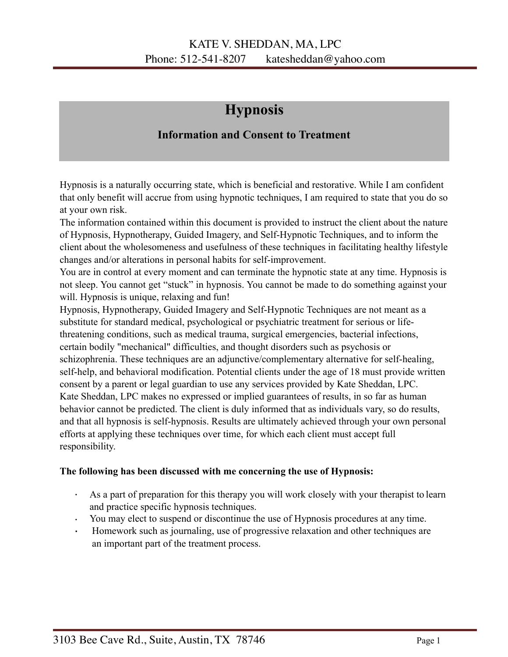## **Hypnosis**

## **Information and Consent to Treatment**

Hypnosis is a naturally occurring state, which is beneficial and restorative. While I am confident that only benefit will accrue from using hypnotic techniques, I am required to state that you do so at your own risk.

The information contained within this document is provided to instruct the client about the nature of Hypnosis, Hypnotherapy, Guided Imagery, and Self-Hypnotic Techniques, and to inform the client about the wholesomeness and usefulness of these techniques in facilitating healthy lifestyle changes and/or alterations in personal habits for self-improvement.

You are in control at every moment and can terminate the hypnotic state at any time. Hypnosis is not sleep. You cannot get "stuck" in hypnosis. You cannot be made to do something against your will. Hypnosis is unique, relaxing and fun!

Hypnosis, Hypnotherapy, Guided Imagery and Self-Hypnotic Techniques are not meant as a substitute for standard medical, psychological or psychiatric treatment for serious or lifethreatening conditions, such as medical trauma, surgical emergencies, bacterial infections, certain bodily "mechanical" difficulties, and thought disorders such as psychosis or schizophrenia. These techniques are an adjunctive/complementary alternative for self-healing, self-help, and behavioral modification. Potential clients under the age of 18 must provide written consent by a parent or legal guardian to use any services provided by Kate Sheddan, LPC. Kate Sheddan, LPC makes no expressed or implied guarantees of results, in so far as human behavior cannot be predicted. The client is duly informed that as individuals vary, so do results, and that all hypnosis is self-hypnosis. Results are ultimately achieved through your own personal efforts at applying these techniques over time, for which each client must accept full responsibility.

## **The following has been discussed with me concerning the use of Hypnosis:**

- · As a part of preparation for this therapy you will work closely with your therapist to learn and practice specific hypnosis techniques.
- · You may elect to suspend or discontinue the use of Hypnosis procedures at any time.
- · Homework such as journaling, use of progressive relaxation and other techniques are an important part of the treatment process.